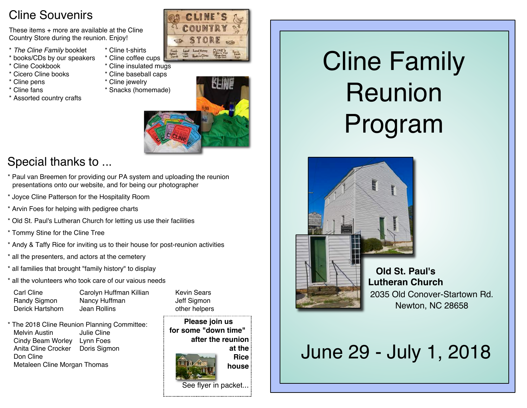## Cline Souvenirs

These items + more are available at the Cline Country Store during the reunion. Enjoy!

- \* *The Cline Family* booklet \* Cline t-shirts
- \* books/CDs by our speakers \* Cline coffee cups
- \* Cline Cookbook \* Cline insulated mugs
- 
- 
- 
- \* Assorted country crafts



- 
- \* Cicero Cline books \* Cline baseball caps
- \* Cline pens \* Cline jewelry
- \* Cline fans \* Snacks (homemade)



# Special thanks to ...

- \* Paul van Breemen for providing our PA system and uploading the reunion presentations onto our website, and for being our photographer
- \* Joyce Cline Patterson for the Hospitality Room
- \* Arvin Foes for helping with pedigree charts
- \* Old St. Paul's Lutheran Church for letting us use their facilities
- \* Tommy Stine for the Cline Tree
- \* Andy & Taffy Rice for inviting us to their house for post-reunion activities
- \* all the presenters, and actors at the cemetery
- \* all families that brought "family history" to display
- \* all the volunteers who took care of our vaious needs

| Carl Cline       |
|------------------|
| Randy Sigmon     |
| Derick Hartshorn |

Carolyn Huffman Killian Kevin Sears **Nancy Huffman** Jeff Sigmon Jean Rollins **Dean Rolling** Communication other helpers

\* The 2018 Cline Reunion Planning Committee: Melvin Austin **Julie Cline** Cindy Beam Worley Lynn Foes Anita Cline Crocker Doris Sigmon Don Cline Metaleen Cline Morgan Thomas

**Please join us for some "down time" after the reunion at the Rice house** See flyer in packet...

# Cline Family Reunion Program



**Old St. Paul's Lutheran Church** 2035 Old Conover-Startown Rd. Newton, NC 28658

# June 29 - July 1, 2018